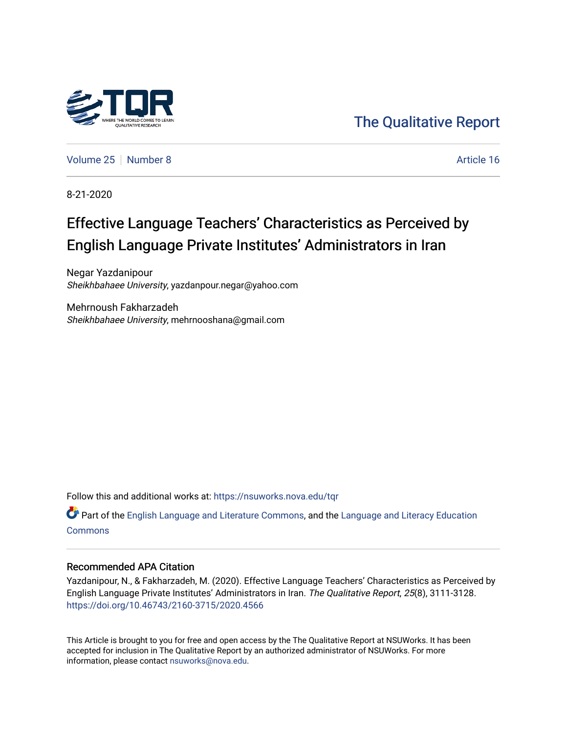

[The Qualitative Report](https://nsuworks.nova.edu/tqr) 

[Volume 25](https://nsuworks.nova.edu/tqr/vol25) [Number 8](https://nsuworks.nova.edu/tqr/vol25/iss8) Article 16

8-21-2020

# Effective Language Teachers' Characteristics as Perceived by English Language Private Institutes' Administrators in Iran

Negar Yazdanipour Sheikhbahaee University, yazdanpour.negar@yahoo.com

Mehrnoush Fakharzadeh Sheikhbahaee University, mehrnooshana@gmail.com

Follow this and additional works at: [https://nsuworks.nova.edu/tqr](https://nsuworks.nova.edu/tqr?utm_source=nsuworks.nova.edu%2Ftqr%2Fvol25%2Fiss8%2F16&utm_medium=PDF&utm_campaign=PDFCoverPages) 

 $\bullet$  Part of the [English Language and Literature Commons](http://network.bepress.com/hgg/discipline/455?utm_source=nsuworks.nova.edu%2Ftqr%2Fvol25%2Fiss8%2F16&utm_medium=PDF&utm_campaign=PDFCoverPages), and the Language and Literacy Education **[Commons](http://network.bepress.com/hgg/discipline/1380?utm_source=nsuworks.nova.edu%2Ftqr%2Fvol25%2Fiss8%2F16&utm_medium=PDF&utm_campaign=PDFCoverPages)** 

#### Recommended APA Citation

Yazdanipour, N., & Fakharzadeh, M. (2020). Effective Language Teachers' Characteristics as Perceived by English Language Private Institutes' Administrators in Iran. The Qualitative Report, 25(8), 3111-3128. <https://doi.org/10.46743/2160-3715/2020.4566>

This Article is brought to you for free and open access by the The Qualitative Report at NSUWorks. It has been accepted for inclusion in The Qualitative Report by an authorized administrator of NSUWorks. For more information, please contact [nsuworks@nova.edu.](mailto:nsuworks@nova.edu)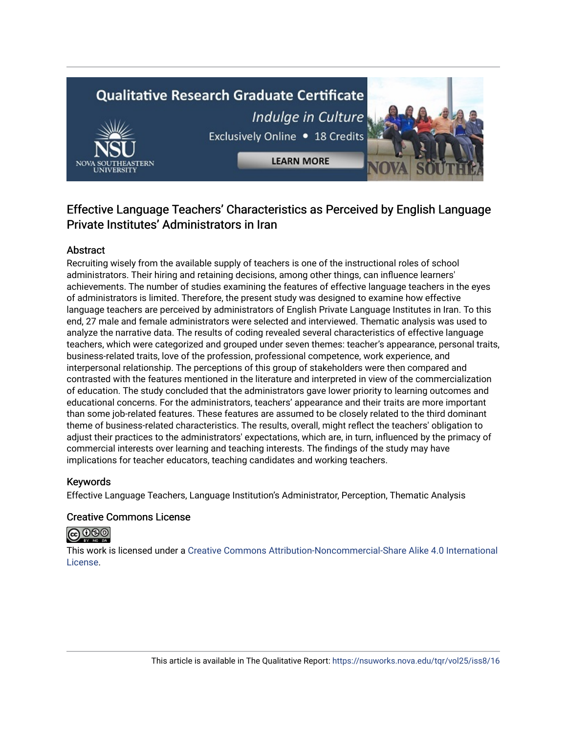# **Qualitative Research Graduate Certificate** Indulge in Culture Exclusively Online . 18 Credits

**LEARN MORE** 

# Effective Language Teachers' Characteristics as Perceived by English Language Private Institutes' Administrators in Iran

## Abstract

Recruiting wisely from the available supply of teachers is one of the instructional roles of school administrators. Their hiring and retaining decisions, among other things, can influence learners' achievements. The number of studies examining the features of effective language teachers in the eyes of administrators is limited. Therefore, the present study was designed to examine how effective language teachers are perceived by administrators of English Private Language Institutes in Iran. To this end, 27 male and female administrators were selected and interviewed. Thematic analysis was used to analyze the narrative data. The results of coding revealed several characteristics of effective language teachers, which were categorized and grouped under seven themes: teacher's appearance, personal traits, business-related traits, love of the profession, professional competence, work experience, and interpersonal relationship. The perceptions of this group of stakeholders were then compared and contrasted with the features mentioned in the literature and interpreted in view of the commercialization of education. The study concluded that the administrators gave lower priority to learning outcomes and educational concerns. For the administrators, teachers' appearance and their traits are more important than some job-related features. These features are assumed to be closely related to the third dominant theme of business-related characteristics. The results, overall, might reflect the teachers' obligation to adjust their practices to the administrators' expectations, which are, in turn, influenced by the primacy of commercial interests over learning and teaching interests. The findings of the study may have implications for teacher educators, teaching candidates and working teachers.

## Keywords

Effective Language Teachers, Language Institution's Administrator, Perception, Thematic Analysis

### Creative Commons License

# **@** 000

This work is licensed under a [Creative Commons Attribution-Noncommercial-Share Alike 4.0 International](https://creativecommons.org/licenses/by-nc-sa/4.0/)  [License](https://creativecommons.org/licenses/by-nc-sa/4.0/).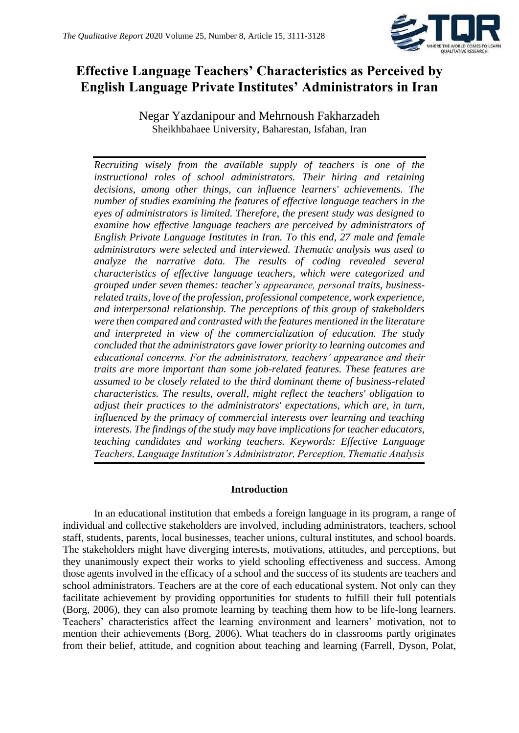

# **Effective Language Teachers' Characteristics as Perceived by English Language Private Institutes' Administrators in Iran**

Negar Yazdanipour and Mehrnoush Fakharzadeh Sheikhbahaee University, Baharestan, Isfahan, Iran

*Recruiting wisely from the available supply of teachers is one of the instructional roles of school administrators. Their hiring and retaining decisions, among other things, can influence learners' achievements. The number of studies examining the features of effective language teachers in the eyes of administrators is limited. Therefore, the present study was designed to examine how effective language teachers are perceived by administrators of English Private Language Institutes in Iran. To this end, 27 male and female administrators were selected and interviewed. Thematic analysis was used to analyze the narrative data. The results of coding revealed several characteristics of effective language teachers, which were categorized and grouped under seven themes: teacher's appearance, personal traits, businessrelated traits, love of the profession, professional competence, work experience, and interpersonal relationship. The perceptions of this group of stakeholders were then compared and contrasted with the features mentioned in the literature and interpreted in view of the commercialization of education. The study concluded that the administrators gave lower priority to learning outcomes and educational concerns. For the administrators, teachers' appearance and their traits are more important than some job-related features. These features are assumed to be closely related to the third dominant theme of business-related characteristics. The results, overall, might reflect the teachers' obligation to adjust their practices to the administrators' expectations, which are, in turn, influenced by the primacy of commercial interests over learning and teaching interests. The findings of the study may have implications for teacher educators, teaching candidates and working teachers. Keywords: Effective Language Teachers, Language Institution's Administrator, Perception, Thematic Analysis*

### **Introduction**

In an educational institution that embeds a foreign language in its program, a range of individual and collective stakeholders are involved, including administrators, teachers, school staff, students, parents, local businesses, teacher unions, cultural institutes, and school boards. The stakeholders might have diverging interests, motivations, attitudes, and perceptions, but they unanimously expect their works to yield schooling effectiveness and success. Among those agents involved in the efficacy of a school and the success of its students are teachers and school administrators. Teachers are at the core of each educational system. Not only can they facilitate achievement by providing opportunities for students to fulfill their full potentials (Borg, 2006), they can also promote learning by teaching them how to be life-long learners. Teachers' characteristics affect the learning environment and learners' motivation, not to mention their achievements (Borg, 2006). What teachers do in classrooms partly originates from their belief, attitude, and cognition about teaching and learning (Farrell, Dyson, Polat,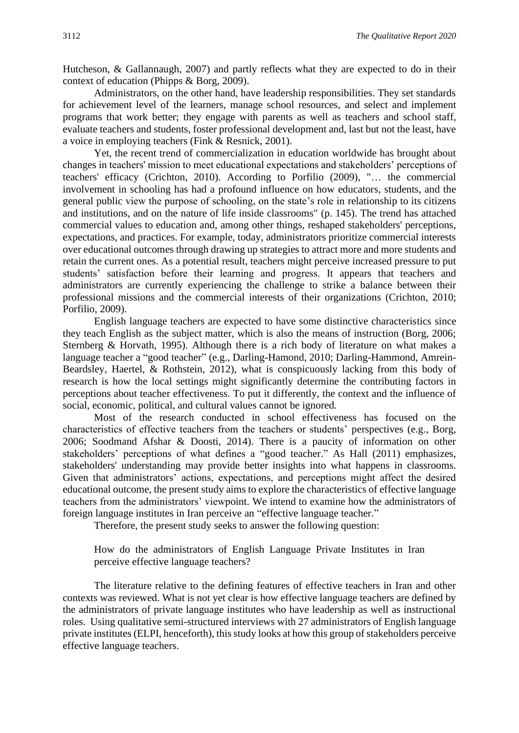Hutcheson, & Gallannaugh, 2007) and partly reflects what they are expected to do in their context of education (Phipps & Borg, 2009).

Administrators, on the other hand, have leadership responsibilities. They set standards for achievement level of the learners, manage school resources, and select and implement programs that work better; they engage with parents as well as teachers and school staff, evaluate teachers and students, foster professional development and, last but not the least, have a voice in employing teachers (Fink & Resnick, 2001).

Yet, the recent trend of commercialization in education worldwide has brought about changes in teachers' mission to meet educational expectations and stakeholders' perceptions of teachers' efficacy (Crichton, 2010). According to Porfilio (2009), "… the commercial involvement in schooling has had a profound influence on how educators, students, and the general public view the purpose of schooling, on the state's role in relationship to its citizens and institutions, and on the nature of life inside classrooms" (p. 145). The trend has attached commercial values to education and, among other things, reshaped stakeholders' perceptions, expectations, and practices. For example, today, administrators prioritize commercial interests over educational outcomes through drawing up strategies to attract more and more students and retain the current ones. As a potential result, teachers might perceive increased pressure to put students' satisfaction before their learning and progress. It appears that teachers and administrators are currently experiencing the challenge to strike a balance between their professional missions and the commercial interests of their organizations (Crichton, 2010; Porfilio, 2009).

English language teachers are expected to have some distinctive characteristics since they teach English as the subject matter, which is also the means of instruction (Borg, 2006; Sternberg & Horvath, 1995). Although there is a rich body of literature on what makes a language teacher a "good teacher" (e.g., Darling-Hamond, 2010; Darling-Hammond, Amrein-Beardsley, Haertel, & Rothstein, 2012), what is conspicuously lacking from this body of research is how the local settings might significantly determine the contributing factors in perceptions about teacher effectiveness. To put it differently, the context and the influence of social, economic, political, and cultural values cannot be ignored.

Most of the research conducted in school effectiveness has focused on the characteristics of effective teachers from the teachers or students' perspectives (e.g., Borg, 2006; Soodmand Afshar & Doosti, 2014). There is a paucity of information on other stakeholders' perceptions of what defines a "good teacher." As Hall (2011) emphasizes, stakeholders' understanding may provide better insights into what happens in classrooms. Given that administrators' actions, expectations, and perceptions might affect the desired educational outcome, the present study aims to explore the characteristics of effective language teachers from the administrators' viewpoint. We intend to examine how the administrators of foreign language institutes in Iran perceive an "effective language teacher."

Therefore, the present study seeks to answer the following question:

How do the administrators of English Language Private Institutes in Iran perceive effective language teachers?

The literature relative to the defining features of effective teachers in Iran and other contexts was reviewed. What is not yet clear is how effective language teachers are defined by the administrators of private language institutes who have leadership as well as instructional roles. Using qualitative semi-structured interviews with 27 administrators of English language private institutes (ELPI, henceforth), this study looks at how this group of stakeholders perceive effective language teachers.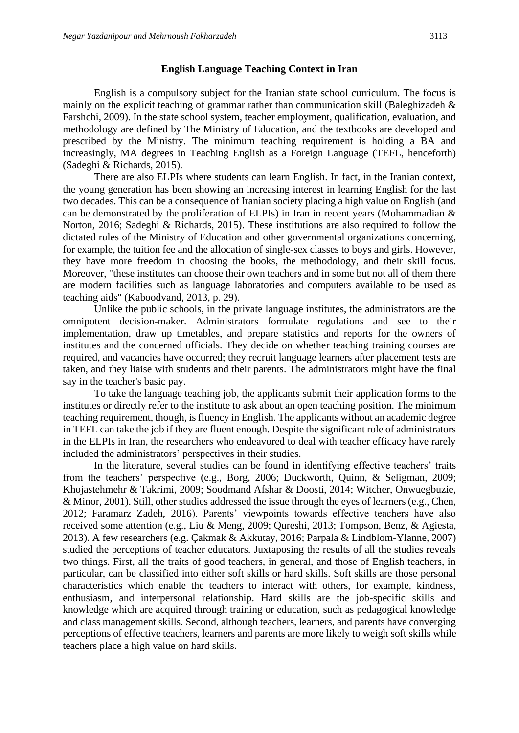#### **English Language Teaching Context in Iran**

English is a compulsory subject for the Iranian state school curriculum. The focus is mainly on the explicit teaching of grammar rather than communication skill (Baleghizadeh & Farshchi, 2009). In the state school system, teacher employment, qualification, evaluation, and methodology are defined by The Ministry of Education, and the textbooks are developed and prescribed by the Ministry. The minimum teaching requirement is holding a BA and increasingly, MA degrees in Teaching English as a Foreign Language (TEFL, henceforth) (Sadeghi & Richards, 2015).

There are also ELPIs where students can learn English. In fact, in the Iranian context, the young generation has been showing an increasing interest in learning English for the last two decades. This can be a consequence of Iranian society placing a high value on English (and can be demonstrated by the proliferation of ELPIs) in Iran in recent years (Mohammadian & Norton, 2016; Sadeghi & Richards, 2015). These institutions are also required to follow the dictated rules of the Ministry of Education and other governmental organizations concerning, for example, the tuition fee and the allocation of single-sex classes to boys and girls. However, they have more freedom in choosing the books, the methodology, and their skill focus. Moreover, "these institutes can choose their own teachers and in some but not all of them there are modern facilities such as language laboratories and computers available to be used as teaching aids" (Kaboodvand, 2013, p. 29).

Unlike the public schools, in the private language institutes, the administrators are the omnipotent decision-maker. Administrators formulate regulations and see to their implementation, draw up timetables, and prepare statistics and reports for the owners of institutes and the concerned officials. They decide on whether teaching training courses are required, and vacancies have occurred; they recruit language learners after placement tests are taken, and they liaise with students and their parents. The administrators might have the final say in the teacher's basic pay.

To take the language teaching job, the applicants submit their application forms to the institutes or directly refer to the institute to ask about an open teaching position. The minimum teaching requirement, though, is fluency in English. The applicants without an academic degree in TEFL can take the job if they are fluent enough. Despite the significant role of administrators in the ELPIs in Iran, the researchers who endeavored to deal with teacher efficacy have rarely included the administrators' perspectives in their studies.

In the literature, several studies can be found in identifying effective teachers' traits from the teachers' perspective (e.g., Borg, 2006; Duckworth, Quinn, & Seligman, 2009; Khojastehmehr & Takrimi, 2009; Soodmand Afshar & Doosti, 2014; Witcher, Onwuegbuzie, & Minor, 2001). Still, other studies addressed the issue through the eyes of learners (e.g., Chen, 2012; Faramarz Zadeh, 2016). Parents' viewpoints towards effective teachers have also received some attention (e.g., Liu & Meng, 2009; Qureshi, 2013; Tompson, Benz, & Agiesta, 2013). A few researchers (e.g. Çakmak & Akkutay, 2016; Parpala & Lindblom-Ylanne, 2007) studied the perceptions of teacher educators. Juxtaposing the results of all the studies reveals two things. First, all the traits of good teachers, in general, and those of English teachers, in particular, can be classified into either soft skills or hard skills. Soft skills are those personal characteristics which enable the teachers to interact with others, for example, kindness, enthusiasm, and interpersonal relationship. Hard skills are the job-specific skills and knowledge which are acquired through training or education, such as pedagogical knowledge and class management skills. Second, although teachers, learners, and parents have converging perceptions of effective teachers, learners and parents are more likely to weigh soft skills while teachers place a high value on hard skills.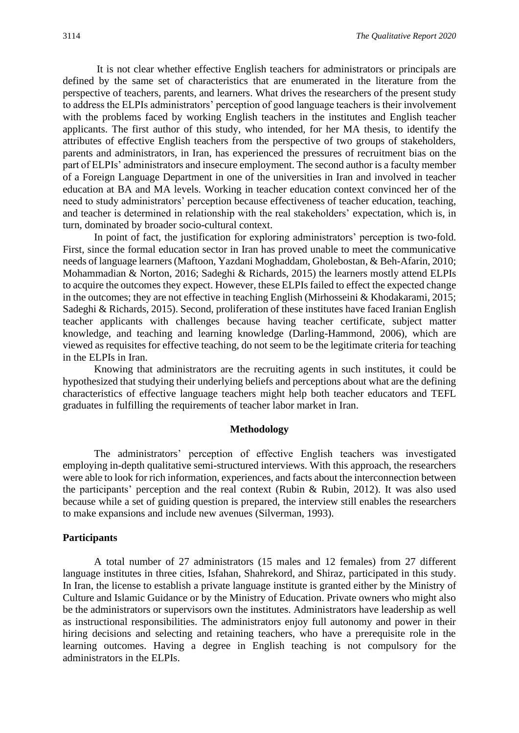It is not clear whether effective English teachers for administrators or principals are defined by the same set of characteristics that are enumerated in the literature from the perspective of teachers, parents, and learners. What drives the researchers of the present study to address the ELPIs administrators' perception of good language teachers is their involvement with the problems faced by working English teachers in the institutes and English teacher applicants. The first author of this study, who intended, for her MA thesis, to identify the attributes of effective English teachers from the perspective of two groups of stakeholders, parents and administrators, in Iran, has experienced the pressures of recruitment bias on the part of ELPIs' administrators and insecure employment. The second author is a faculty member of a Foreign Language Department in one of the universities in Iran and involved in teacher education at BA and MA levels. Working in teacher education context convinced her of the need to study administrators' perception because effectiveness of teacher education, teaching, and teacher is determined in relationship with the real stakeholders' expectation, which is, in turn, dominated by broader socio-cultural context.

In point of fact, the justification for exploring administrators' perception is two-fold. First, since the formal education sector in Iran has proved unable to meet the communicative needs of language learners (Maftoon, Yazdani Moghaddam, Gholebostan, & Beh-Afarin, 2010; Mohammadian & Norton, 2016; Sadeghi & Richards, 2015) the learners mostly attend ELPIs to acquire the outcomes they expect. However, these ELPIs failed to effect the expected change in the outcomes; they are not effective in teaching English (Mirhosseini & Khodakarami, 2015; Sadeghi & Richards, 2015). Second, proliferation of these institutes have faced Iranian English teacher applicants with challenges because having teacher certificate, subject matter knowledge, and teaching and learning knowledge (Darling-Hammond, 2006), which are viewed as requisites for effective teaching, do not seem to be the legitimate criteria for teaching in the ELPIs in Iran.

Knowing that administrators are the recruiting agents in such institutes, it could be hypothesized that studying their underlying beliefs and perceptions about what are the defining characteristics of effective language teachers might help both teacher educators and TEFL graduates in fulfilling the requirements of teacher labor market in Iran.

#### **Methodology**

The administrators' perception of effective English teachers was investigated employing in-depth qualitative semi-structured interviews. With this approach, the researchers were able to look for rich information, experiences, and facts about the interconnection between the participants' perception and the real context (Rubin & Rubin, 2012). It was also used because while a set of guiding question is prepared, the interview still enables the researchers to make expansions and include new avenues (Silverman, 1993).

#### **Participants**

A total number of 27 administrators (15 males and 12 females) from 27 different language institutes in three cities, Isfahan, Shahrekord, and Shiraz, participated in this study. In Iran, the license to establish a private language institute is granted either by the Ministry of Culture and Islamic Guidance or by the Ministry of Education. Private owners who might also be the administrators or supervisors own the institutes. Administrators have leadership as well as instructional responsibilities. The administrators enjoy full autonomy and power in their hiring decisions and selecting and retaining teachers, who have a prerequisite role in the learning outcomes. Having a degree in English teaching is not compulsory for the administrators in the ELPIs.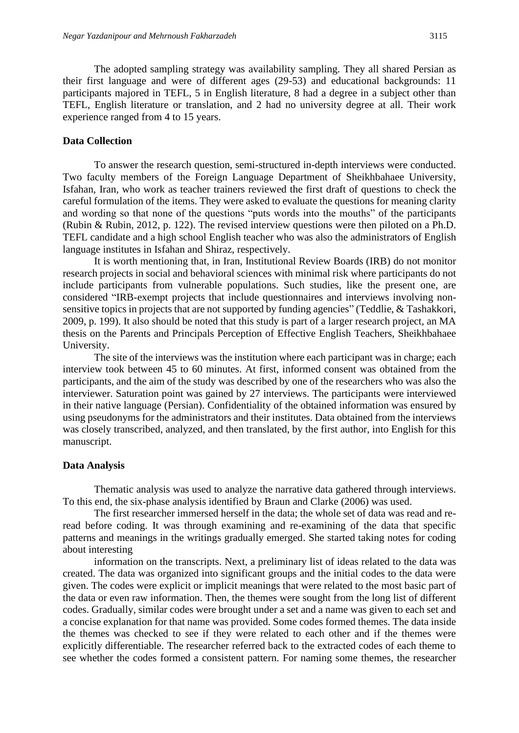The adopted sampling strategy was availability sampling. They all shared Persian as their first language and were of different ages (29-53) and educational backgrounds: 11 participants majored in TEFL, 5 in English literature, 8 had a degree in a subject other than TEFL, English literature or translation, and 2 had no university degree at all. Their work experience ranged from 4 to 15 years.

#### **Data Collection**

To answer the research question, semi-structured in-depth interviews were conducted. Two faculty members of the Foreign Language Department of Sheikhbahaee University, Isfahan, Iran, who work as teacher trainers reviewed the first draft of questions to check the careful formulation of the items. They were asked to evaluate the questions for meaning clarity and wording so that none of the questions "puts words into the mouths" of the participants (Rubin & Rubin, 2012, p. 122). The revised interview questions were then piloted on a Ph.D. TEFL candidate and a high school English teacher who was also the administrators of English language institutes in Isfahan and Shiraz, respectively.

It is worth mentioning that, in Iran, Institutional Review Boards (IRB) do not monitor research projects in social and behavioral sciences with minimal risk where participants do not include participants from vulnerable populations. Such studies, like the present one, are considered "IRB-exempt projects that include questionnaires and interviews involving nonsensitive topics in projects that are not supported by funding agencies" (Teddlie, & Tashakkori, 2009, p. 199). It also should be noted that this study is part of a larger research project, an MA thesis on the Parents and Principals Perception of Effective English Teachers, Sheikhbahaee University.

The site of the interviews was the institution where each participant was in charge; each interview took between 45 to 60 minutes. At first, informed consent was obtained from the participants, and the aim of the study was described by one of the researchers who was also the interviewer. Saturation point was gained by 27 interviews. The participants were interviewed in their native language (Persian). Confidentiality of the obtained information was ensured by using pseudonyms for the administrators and their institutes. Data obtained from the interviews was closely transcribed, analyzed, and then translated, by the first author, into English for this manuscript.

#### **Data Analysis**

Thematic analysis was used to analyze the narrative data gathered through interviews. To this end, the six-phase analysis identified by Braun and Clarke (2006) was used.

The first researcher immersed herself in the data; the whole set of data was read and reread before coding. It was through examining and re-examining of the data that specific patterns and meanings in the writings gradually emerged. She started taking notes for coding about interesting

information on the transcripts. Next, a preliminary list of ideas related to the data was created. The data was organized into significant groups and the initial codes to the data were given. The codes were explicit or implicit meanings that were related to the most basic part of the data or even raw information. Then, the themes were sought from the long list of different codes. Gradually, similar codes were brought under a set and a name was given to each set and a concise explanation for that name was provided. Some codes formed themes. The data inside the themes was checked to see if they were related to each other and if the themes were explicitly differentiable. The researcher referred back to the extracted codes of each theme to see whether the codes formed a consistent pattern. For naming some themes, the researcher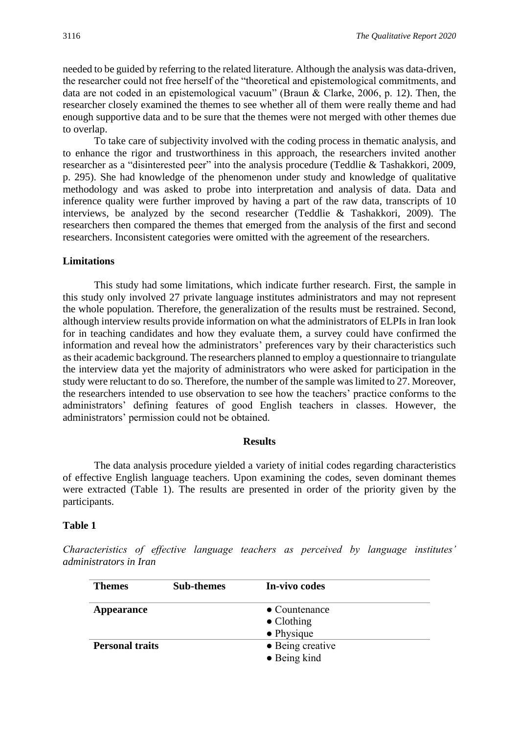needed to be guided by referring to the related literature. Although the analysis was data-driven, the researcher could not free herself of the "theoretical and epistemological commitments, and data are not coded in an epistemological vacuum" (Braun & Clarke, 2006, p. 12). Then, the researcher closely examined the themes to see whether all of them were really theme and had enough supportive data and to be sure that the themes were not merged with other themes due to overlap.

To take care of subjectivity involved with the coding process in thematic analysis, and to enhance the rigor and trustworthiness in this approach, the researchers invited another researcher as a "disinterested peer" into the analysis procedure (Teddlie & Tashakkori, 2009, p. 295). She had knowledge of the phenomenon under study and knowledge of qualitative methodology and was asked to probe into interpretation and analysis of data. Data and inference quality were further improved by having a part of the raw data, transcripts of 10 interviews, be analyzed by the second researcher (Teddlie & Tashakkori, 2009). The researchers then compared the themes that emerged from the analysis of the first and second researchers. Inconsistent categories were omitted with the agreement of the researchers.

#### **Limitations**

This study had some limitations, which indicate further research. First, the sample in this study only involved 27 private language institutes administrators and may not represent the whole population. Therefore, the generalization of the results must be restrained. Second, although interview results provide information on what the administrators of ELPIs in Iran look for in teaching candidates and how they evaluate them, a survey could have confirmed the information and reveal how the administrators' preferences vary by their characteristics such astheir academic background. The researchers planned to employ a questionnaire to triangulate the interview data yet the majority of administrators who were asked for participation in the study were reluctant to do so. Therefore, the number of the sample was limited to 27. Moreover, the researchers intended to use observation to see how the teachers' practice conforms to the administrators' defining features of good English teachers in classes. However, the administrators' permission could not be obtained.

#### **Results**

The data analysis procedure yielded a variety of initial codes regarding characteristics of effective English language teachers. Upon examining the codes, seven dominant themes were extracted (Table 1). The results are presented in order of the priority given by the participants.

#### **Table 1**

*Characteristics of effective language teachers as perceived by language institutes' administrators in Iran*

| <b>Themes</b>          | <b>Sub-themes</b> | In-vivo codes         |  |
|------------------------|-------------------|-----------------------|--|
| <b>Appearance</b>      |                   | $\bullet$ Countenance |  |
|                        |                   | $\bullet$ Clothing    |  |
|                        |                   | $\bullet$ Physique    |  |
| <b>Personal traits</b> |                   | • Being creative      |  |
|                        |                   | • Being kind          |  |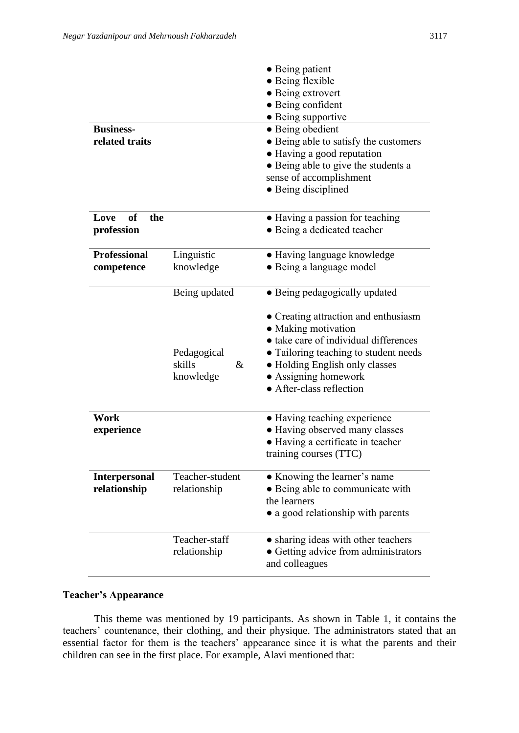|                                      |                                                             | • Being patient<br>• Being flexible<br>• Being extrovert<br>• Being confident<br>· Being supportive                                                                                                                                                                  |
|--------------------------------------|-------------------------------------------------------------|----------------------------------------------------------------------------------------------------------------------------------------------------------------------------------------------------------------------------------------------------------------------|
| <b>Business-</b><br>related traits   |                                                             | • Being obedient<br>• Being able to satisfy the customers<br>• Having a good reputation<br>• Being able to give the students a<br>sense of accomplishment<br>• Being disciplined                                                                                     |
| Love<br>of<br>the<br>profession      |                                                             | • Having a passion for teaching<br>• Being a dedicated teacher                                                                                                                                                                                                       |
| <b>Professional</b><br>competence    | Linguistic<br>knowledge                                     | • Having language knowledge<br>• Being a language model                                                                                                                                                                                                              |
|                                      | Being updated<br>Pedagogical<br>skills<br>$\&$<br>knowledge | • Being pedagogically updated<br>• Creating attraction and enthusiasm<br>• Making motivation<br>· take care of individual differences<br>• Tailoring teaching to student needs<br>• Holding English only classes<br>• Assigning homework<br>• After-class reflection |
| Work<br>experience                   |                                                             | • Having teaching experience<br>· Having observed many classes<br>• Having a certificate in teacher<br>training courses (TTC)                                                                                                                                        |
| <b>Interpersonal</b><br>relationship | Teacher-student<br>relationship                             | • Knowing the learner's name<br>• Being able to communicate with<br>the learners<br>• a good relationship with parents                                                                                                                                               |
|                                      | Teacher-staff<br>relationship                               | • sharing ideas with other teachers<br>• Getting advice from administrators<br>and colleagues                                                                                                                                                                        |

#### **Teacher's Appearance**

This theme was mentioned by 19 participants. As shown in Table 1, it contains the teachers' countenance, their clothing, and their physique. The administrators stated that an essential factor for them is the teachers' appearance since it is what the parents and their children can see in the first place. For example, Alavi mentioned that: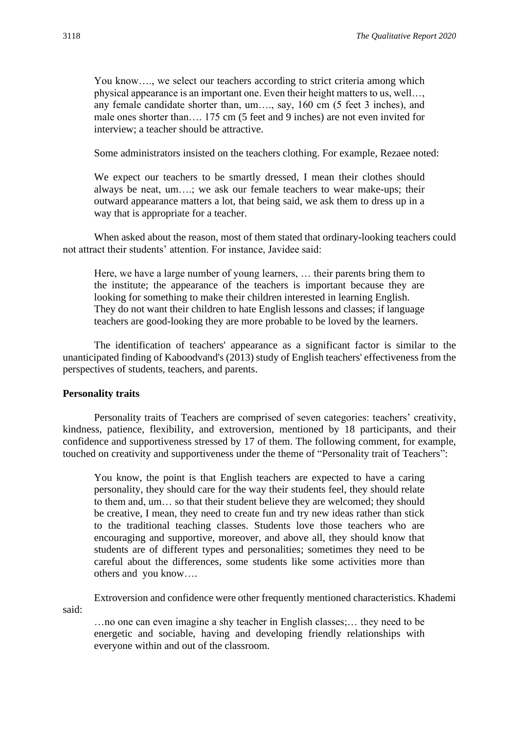You know…., we select our teachers according to strict criteria among which physical appearance is an important one. Even their height matters to us, well…, any female candidate shorter than, um…., say, 160 cm (5 feet 3 inches), and male ones shorter than…. 175 cm (5 feet and 9 inches) are not even invited for interview; a teacher should be attractive.

Some administrators insisted on the teachers clothing. For example, Rezaee noted:

We expect our teachers to be smartly dressed, I mean their clothes should always be neat, um….; we ask our female teachers to wear make-ups; their outward appearance matters a lot, that being said, we ask them to dress up in a way that is appropriate for a teacher.

When asked about the reason, most of them stated that ordinary-looking teachers could not attract their students' attention. For instance, Javidee said:

Here, we have a large number of young learners, … their parents bring them to the institute; the appearance of the teachers is important because they are looking for something to make their children interested in learning English. They do not want their children to hate English lessons and classes; if language teachers are good-looking they are more probable to be loved by the learners.

The identification of teachers' appearance as a significant factor is similar to the unanticipated finding of Kaboodvand's (2013) study of English teachers' effectiveness from the perspectives of students, teachers, and parents.

#### **Personality traits**

Personality traits of Teachers are comprised of seven categories: teachers' creativity, kindness, patience, flexibility, and extroversion, mentioned by 18 participants, and their confidence and supportiveness stressed by 17 of them. The following comment, for example, touched on creativity and supportiveness under the theme of "Personality trait of Teachers":

You know, the point is that English teachers are expected to have a caring personality, they should care for the way their students feel, they should relate to them and, um… so that their student believe they are welcomed; they should be creative, I mean, they need to create fun and try new ideas rather than stick to the traditional teaching classes. Students love those teachers who are encouraging and supportive, moreover, and above all, they should know that students are of different types and personalities; sometimes they need to be careful about the differences, some students like some activities more than others and you know….

Extroversion and confidence were other frequently mentioned characteristics. Khademi said:

…no one can even imagine a shy teacher in English classes;… they need to be energetic and sociable, having and developing friendly relationships with everyone within and out of the classroom.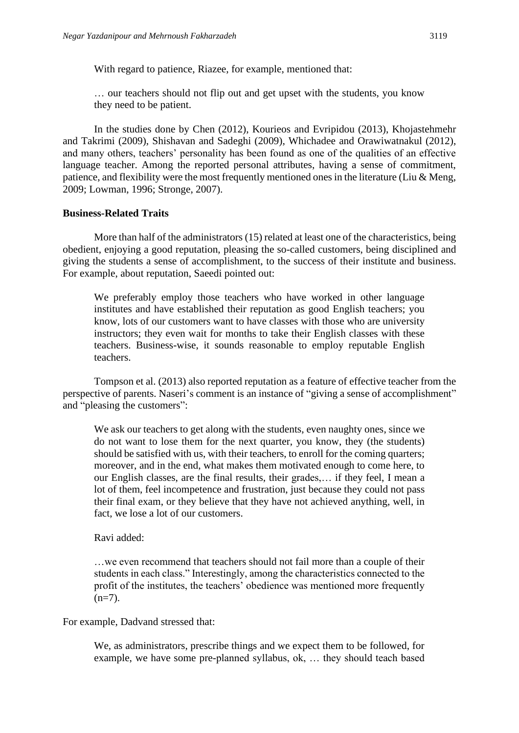With regard to patience, Riazee, for example, mentioned that:

… our teachers should not flip out and get upset with the students, you know they need to be patient.

In the studies done by Chen (2012), Kourieos and Evripidou (2013), Khojastehmehr and Takrimi (2009), Shishavan and Sadeghi (2009), Whichadee and Orawiwatnakul (2012), and many others, teachers' personality has been found as one of the qualities of an effective language teacher. Among the reported personal attributes, having a sense of commitment, patience, and flexibility were the most frequently mentioned ones in the literature (Liu & Meng, 2009; Lowman, 1996; Stronge, 2007).

#### **Business-Related Traits**

More than half of the administrators (15) related at least one of the characteristics, being obedient, enjoying a good reputation, pleasing the so-called customers, being disciplined and giving the students a sense of accomplishment, to the success of their institute and business. For example, about reputation, Saeedi pointed out:

We preferably employ those teachers who have worked in other language institutes and have established their reputation as good English teachers; you know, lots of our customers want to have classes with those who are university instructors; they even wait for months to take their English classes with these teachers. Business-wise, it sounds reasonable to employ reputable English teachers.

Tompson et al. (2013) also reported reputation as a feature of effective teacher from the perspective of parents. Naseri's comment is an instance of "giving a sense of accomplishment" and "pleasing the customers":

We ask our teachers to get along with the students, even naughty ones, since we do not want to lose them for the next quarter, you know, they (the students) should be satisfied with us, with their teachers, to enroll for the coming quarters; moreover, and in the end, what makes them motivated enough to come here, to our English classes, are the final results, their grades,… if they feel, I mean a lot of them, feel incompetence and frustration, just because they could not pass their final exam, or they believe that they have not achieved anything, well, in fact, we lose a lot of our customers.

Ravi added:

…we even recommend that teachers should not fail more than a couple of their students in each class." Interestingly, among the characteristics connected to the profit of the institutes, the teachers' obedience was mentioned more frequently  $(n=7)$ .

For example, Dadvand stressed that:

We, as administrators, prescribe things and we expect them to be followed, for example, we have some pre-planned syllabus, ok, … they should teach based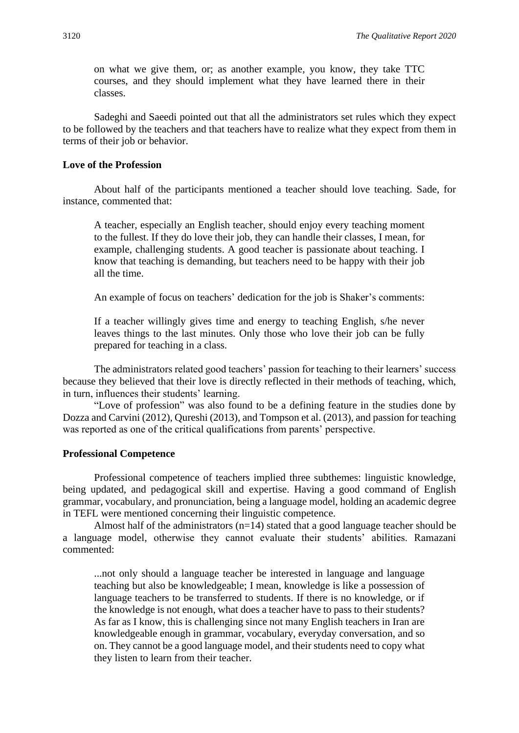on what we give them, or; as another example, you know, they take TTC courses, and they should implement what they have learned there in their classes.

Sadeghi and Saeedi pointed out that all the administrators set rules which they expect to be followed by the teachers and that teachers have to realize what they expect from them in terms of their job or behavior.

#### **Love of the Profession**

About half of the participants mentioned a teacher should love teaching. Sade, for instance, commented that:

A teacher, especially an English teacher, should enjoy every teaching moment to the fullest. If they do love their job, they can handle their classes, I mean, for example, challenging students. A good teacher is passionate about teaching. I know that teaching is demanding, but teachers need to be happy with their job all the time.

An example of focus on teachers' dedication for the job is Shaker's comments:

If a teacher willingly gives time and energy to teaching English, s/he never leaves things to the last minutes. Only those who love their job can be fully prepared for teaching in a class.

The administrators related good teachers' passion for teaching to their learners' success because they believed that their love is directly reflected in their methods of teaching, which, in turn, influences their students' learning.

"Love of profession" was also found to be a defining feature in the studies done by Dozza and Carvini (2012), Qureshi (2013), and Tompson et al. (2013), and passion for teaching was reported as one of the critical qualifications from parents' perspective.

#### **Professional Competence**

Professional competence of teachers implied three subthemes: linguistic knowledge, being updated, and pedagogical skill and expertise. Having a good command of English grammar, vocabulary, and pronunciation, being a language model, holding an academic degree in TEFL were mentioned concerning their linguistic competence.

Almost half of the administrators  $(n=14)$  stated that a good language teacher should be a language model, otherwise they cannot evaluate their students' abilities. Ramazani commented:

...not only should a language teacher be interested in language and language teaching but also be knowledgeable; I mean, knowledge is like a possession of language teachers to be transferred to students. If there is no knowledge, or if the knowledge is not enough, what does a teacher have to pass to their students? As far as I know, this is challenging since not many English teachers in Iran are knowledgeable enough in grammar, vocabulary, everyday conversation, and so on. They cannot be a good language model, and their students need to copy what they listen to learn from their teacher.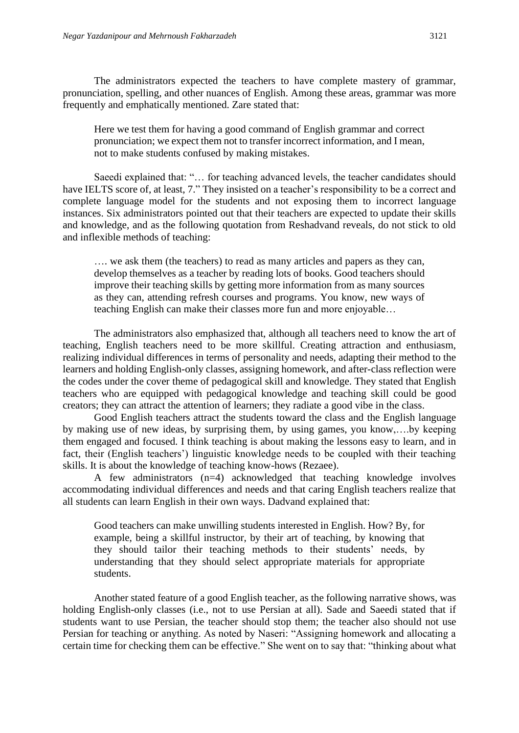The administrators expected the teachers to have complete mastery of grammar, pronunciation, spelling, and other nuances of English. Among these areas, grammar was more frequently and emphatically mentioned. Zare stated that:

Here we test them for having a good command of English grammar and correct pronunciation; we expect them not to transfer incorrect information, and I mean, not to make students confused by making mistakes.

Saeedi explained that: "… for teaching advanced levels, the teacher candidates should have IELTS score of, at least, 7." They insisted on a teacher's responsibility to be a correct and complete language model for the students and not exposing them to incorrect language instances. Six administrators pointed out that their teachers are expected to update their skills and knowledge, and as the following quotation from Reshadvand reveals, do not stick to old and inflexible methods of teaching:

…. we ask them (the teachers) to read as many articles and papers as they can, develop themselves as a teacher by reading lots of books. Good teachers should improve their teaching skills by getting more information from as many sources as they can, attending refresh courses and programs. You know, new ways of teaching English can make their classes more fun and more enjoyable…

The administrators also emphasized that, although all teachers need to know the art of teaching, English teachers need to be more skillful. Creating attraction and enthusiasm, realizing individual differences in terms of personality and needs, adapting their method to the learners and holding English-only classes, assigning homework, and after-class reflection were the codes under the cover theme of pedagogical skill and knowledge. They stated that English teachers who are equipped with pedagogical knowledge and teaching skill could be good creators; they can attract the attention of learners; they radiate a good vibe in the class.

Good English teachers attract the students toward the class and the English language by making use of new ideas, by surprising them, by using games, you know,….by keeping them engaged and focused. I think teaching is about making the lessons easy to learn, and in fact, their (English teachers') linguistic knowledge needs to be coupled with their teaching skills. It is about the knowledge of teaching know-hows (Rezaee).

A few administrators (n=4) acknowledged that teaching knowledge involves accommodating individual differences and needs and that caring English teachers realize that all students can learn English in their own ways. Dadvand explained that:

Good teachers can make unwilling students interested in English. How? By, for example, being a skillful instructor, by their art of teaching, by knowing that they should tailor their teaching methods to their students' needs, by understanding that they should select appropriate materials for appropriate students.

Another stated feature of a good English teacher, as the following narrative shows, was holding English-only classes (i.e., not to use Persian at all). Sade and Saeedi stated that if students want to use Persian, the teacher should stop them; the teacher also should not use Persian for teaching or anything. As noted by Naseri: "Assigning homework and allocating a certain time for checking them can be effective." She went on to say that: "thinking about what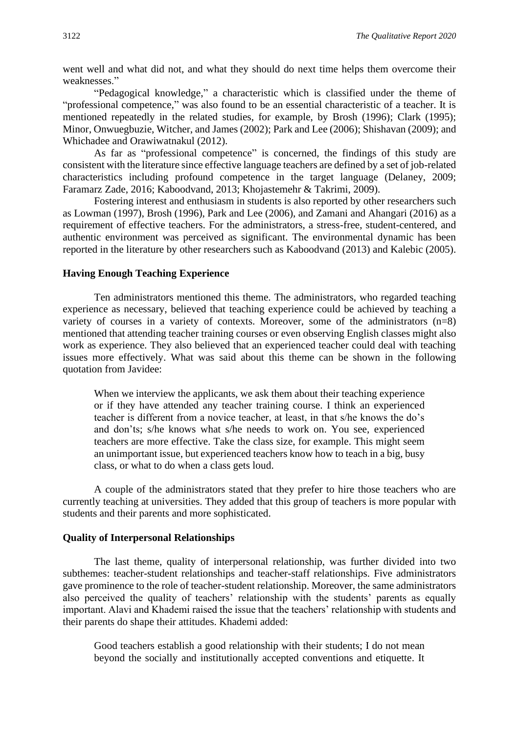went well and what did not, and what they should do next time helps them overcome their weaknesses."

"Pedagogical knowledge," a characteristic which is classified under the theme of "professional competence," was also found to be an essential characteristic of a teacher. It is mentioned repeatedly in the related studies, for example, by Brosh (1996); Clark (1995); Minor, Onwuegbuzie, Witcher, and James (2002); Park and Lee (2006); Shishavan (2009); and Whichadee and Orawiwatnakul (2012).

As far as "professional competence" is concerned, the findings of this study are consistent with the literature since effective language teachers are defined by a set of job-related characteristics including profound competence in the target language (Delaney, 2009; Faramarz Zade, 2016; Kaboodvand, 2013; Khojastemehr & Takrimi, 2009).

Fostering interest and enthusiasm in students is also reported by other researchers such as Lowman (1997), Brosh (1996), Park and Lee (2006), and Zamani and Ahangari (2016) as a requirement of effective teachers. For the administrators, a stress-free, student-centered, and authentic environment was perceived as significant. The environmental dynamic has been reported in the literature by other researchers such as Kaboodvand (2013) and Kalebic (2005).

#### **Having Enough Teaching Experience**

Ten administrators mentioned this theme. The administrators, who regarded teaching experience as necessary, believed that teaching experience could be achieved by teaching a variety of courses in a variety of contexts. Moreover, some of the administrators (n=8) mentioned that attending teacher training courses or even observing English classes might also work as experience. They also believed that an experienced teacher could deal with teaching issues more effectively. What was said about this theme can be shown in the following quotation from Javidee:

When we interview the applicants, we ask them about their teaching experience or if they have attended any teacher training course. I think an experienced teacher is different from a novice teacher, at least, in that s/he knows the do's and don'ts; s/he knows what s/he needs to work on. You see, experienced teachers are more effective. Take the class size, for example. This might seem an unimportant issue, but experienced teachers know how to teach in a big, busy class, or what to do when a class gets loud.

A couple of the administrators stated that they prefer to hire those teachers who are currently teaching at universities. They added that this group of teachers is more popular with students and their parents and more sophisticated.

#### **Quality of Interpersonal Relationships**

The last theme, quality of interpersonal relationship, was further divided into two subthemes: teacher-student relationships and teacher-staff relationships. Five administrators gave prominence to the role of teacher-student relationship. Moreover, the same administrators also perceived the quality of teachers' relationship with the students' parents as equally important. Alavi and Khademi raised the issue that the teachers' relationship with students and their parents do shape their attitudes. Khademi added:

Good teachers establish a good relationship with their students; I do not mean beyond the socially and institutionally accepted conventions and etiquette. It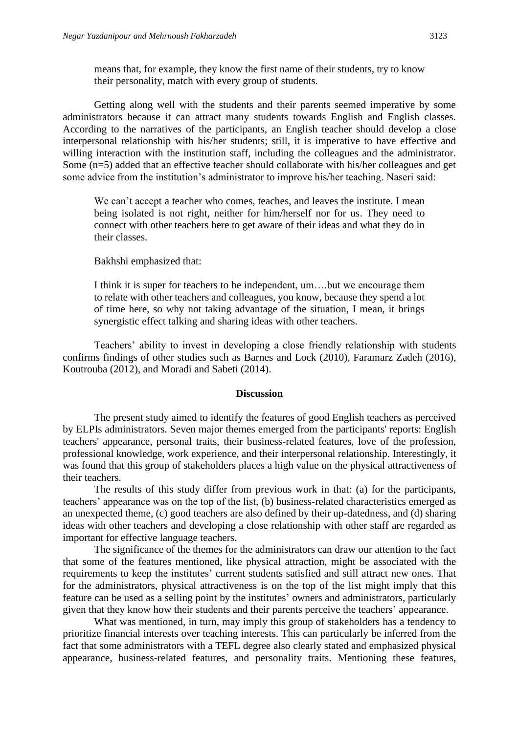means that, for example, they know the first name of their students, try to know their personality, match with every group of students.

Getting along well with the students and their parents seemed imperative by some administrators because it can attract many students towards English and English classes. According to the narratives of the participants, an English teacher should develop a close interpersonal relationship with his/her students; still, it is imperative to have effective and willing interaction with the institution staff, including the colleagues and the administrator. Some (n=5) added that an effective teacher should collaborate with his/her colleagues and get some advice from the institution's administrator to improve his/her teaching. Naseri said:

We can't accept a teacher who comes, teaches, and leaves the institute. I mean being isolated is not right, neither for him/herself nor for us. They need to connect with other teachers here to get aware of their ideas and what they do in their classes.

#### Bakhshi emphasized that:

I think it is super for teachers to be independent, um….but we encourage them to relate with other teachers and colleagues, you know, because they spend a lot of time here, so why not taking advantage of the situation, I mean, it brings synergistic effect talking and sharing ideas with other teachers.

Teachers' ability to invest in developing a close friendly relationship with students confirms findings of other studies such as Barnes and Lock (2010), Faramarz Zadeh (2016), Koutrouba (2012), and Moradi and Sabeti (2014).

#### **Discussion**

The present study aimed to identify the features of good English teachers as perceived by ELPIs administrators. Seven major themes emerged from the participants' reports: English teachers' appearance, personal traits, their business-related features, love of the profession, professional knowledge, work experience, and their interpersonal relationship. Interestingly, it was found that this group of stakeholders places a high value on the physical attractiveness of their teachers.

The results of this study differ from previous work in that: (a) for the participants, teachers' appearance was on the top of the list, (b) business-related characteristics emerged as an unexpected theme, (c) good teachers are also defined by their up-datedness, and (d) sharing ideas with other teachers and developing a close relationship with other staff are regarded as important for effective language teachers.

The significance of the themes for the administrators can draw our attention to the fact that some of the features mentioned, like physical attraction, might be associated with the requirements to keep the institutes' current students satisfied and still attract new ones. That for the administrators, physical attractiveness is on the top of the list might imply that this feature can be used as a selling point by the institutes' owners and administrators, particularly given that they know how their students and their parents perceive the teachers' appearance.

What was mentioned, in turn, may imply this group of stakeholders has a tendency to prioritize financial interests over teaching interests. This can particularly be inferred from the fact that some administrators with a TEFL degree also clearly stated and emphasized physical appearance, business-related features, and personality traits. Mentioning these features,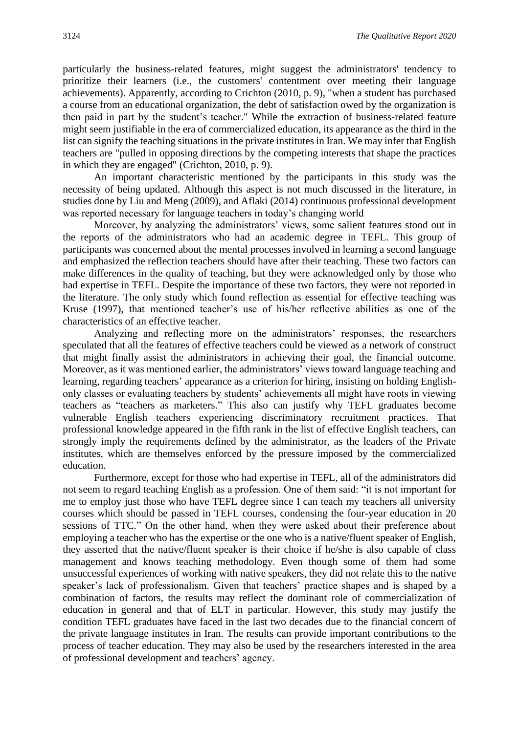particularly the business-related features, might suggest the administrators' tendency to prioritize their learners (i.e., the customers' contentment over meeting their language achievements). Apparently, according to Crichton (2010, p. 9), "when a student has purchased a course from an educational organization, the debt of satisfaction owed by the organization is then paid in part by the student's teacher." While the extraction of business-related feature might seem justifiable in the era of commercialized education, its appearance as the third in the list can signify the teaching situations in the private institutes in Iran. We may infer that English teachers are "pulled in opposing directions by the competing interests that shape the practices in which they are engaged" (Crichton, 2010, p. 9).

An important characteristic mentioned by the participants in this study was the necessity of being updated. Although this aspect is not much discussed in the literature, in studies done by Liu and Meng (2009), and Aflaki (2014) continuous professional development was reported necessary for language teachers in today's changing world

Moreover, by analyzing the administrators' views, some salient features stood out in the reports of the administrators who had an academic degree in TEFL. This group of participants was concerned about the mental processes involved in learning a second language and emphasized the reflection teachers should have after their teaching. These two factors can make differences in the quality of teaching, but they were acknowledged only by those who had expertise in TEFL. Despite the importance of these two factors, they were not reported in the literature. The only study which found reflection as essential for effective teaching was Kruse (1997), that mentioned teacher's use of his/her reflective abilities as one of the characteristics of an effective teacher.

Analyzing and reflecting more on the administrators' responses, the researchers speculated that all the features of effective teachers could be viewed as a network of construct that might finally assist the administrators in achieving their goal, the financial outcome. Moreover, as it was mentioned earlier, the administrators' views toward language teaching and learning, regarding teachers' appearance as a criterion for hiring, insisting on holding Englishonly classes or evaluating teachers by students' achievements all might have roots in viewing teachers as "teachers as marketers." This also can justify why TEFL graduates become vulnerable English teachers experiencing discriminatory recruitment practices. That professional knowledge appeared in the fifth rank in the list of effective English teachers, can strongly imply the requirements defined by the administrator, as the leaders of the Private institutes, which are themselves enforced by the pressure imposed by the commercialized education.

Furthermore, except for those who had expertise in TEFL, all of the administrators did not seem to regard teaching English as a profession. One of them said: "it is not important for me to employ just those who have TEFL degree since I can teach my teachers all university courses which should be passed in TEFL courses, condensing the four-year education in 20 sessions of TTC." On the other hand, when they were asked about their preference about employing a teacher who has the expertise or the one who is a native/fluent speaker of English, they asserted that the native/fluent speaker is their choice if he/she is also capable of class management and knows teaching methodology. Even though some of them had some unsuccessful experiences of working with native speakers, they did not relate this to the native speaker's lack of professionalism. Given that teachers' practice shapes and is shaped by a combination of factors, the results may reflect the dominant role of commercialization of education in general and that of ELT in particular. However, this study may justify the condition TEFL graduates have faced in the last two decades due to the financial concern of the private language institutes in Iran. The results can provide important contributions to the process of teacher education. They may also be used by the researchers interested in the area of professional development and teachers' agency.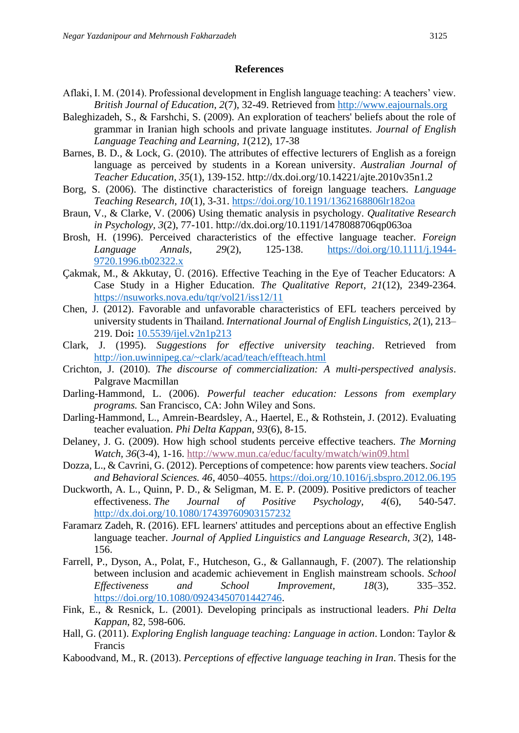#### **References**

- Aflaki, I. M. (2014). Professional development in English language teaching: A teachers' view. *British Journal of Education*, *2*(7), 32-49. Retrieved from [http://www.eajournals.org](http://www.eajournals.org/)
- Baleghizadeh, S., & Farshchi, S. (2009). An exploration of teachers' beliefs about the role of grammar in Iranian high schools and private language institutes. *Journal of English Language Teaching and Learning, 1*(212), 17-38
- Barnes, B. D., & Lock, G. (2010). The attributes of effective lecturers of English as a foreign language as perceived by students in a Korean university. *Australian Journal of Teacher Education, 35*(1), 139-152. http://dx.doi.org/10.14221/ajte.2010v35n1.2
- Borg, S. (2006). The distinctive characteristics of foreign language teachers. *Language Teaching Research, 10*(1), 3-31. [https://doi.org/10.1191/1362168806lr182oa](https://doi.org/10.1191%2F1362168806lr182oa)
- Braun, V., & Clarke, V. (2006) Using thematic analysis in psychology. *Qualitative Research in Psychology, 3*(2), 77-101. http://dx.doi.org/10.1191/1478088706qp063oa
- Brosh, H. (1996). Perceived characteristics of the effective language teacher. *Foreign Language Annals, 29*(2), 125-138. [https://doi.org/10.1111/j.1944-](https://doi.org/10.1111/j.1944-9720.1996.tb02322.x) [9720.1996.tb02322.x](https://doi.org/10.1111/j.1944-9720.1996.tb02322.x)
- Çakmak, M., & Akkutay, Ü. (2016). Effective Teaching in the Eye of Teacher Educators: A Case Study in a Higher Education. *The Qualitative Report*, *21*(12), 2349-2364. <https://nsuworks.nova.edu/tqr/vol21/iss12/11>
- Chen, J. (2012). Favorable and unfavorable characteristics of EFL teachers perceived by university students in Thailand. *International Journal of English Linguistics, 2*(1), 213– 219. Doi**:** [10.5539/ijel.v2n1p213](https://doi.org/10.5539/ijel.v2n1p213)
- Clark, J. (1995). *Suggestions for effective university teaching*. Retrieved from <http://ion.uwinnipeg.ca/~clark/acad/teach/effteach.html>
- Crichton, J. (2010). *The discourse of commercialization: A multi-perspectived analysis*. Palgrave Macmillan
- Darling-Hammond, L. (2006). *Powerful teacher education: Lessons from exemplary programs.* San Francisco, CA: John Wiley and Sons.
- Darling-Hammond, L., Amrein-Beardsley, A., Haertel, E., & Rothstein, J. (2012). Evaluating teacher evaluation. *Phi Delta Kappan*, *93*(6), 8-15.
- Delaney, J. G. (2009). How high school students perceive effective teachers. *The Morning Watch, 36*(3-4), 1-16.<http://www.mun.ca/educ/faculty/mwatch/win09.html>
- Dozza, L., & Cavrini, G. (2012). Perceptions of competence: how parents view teachers. *Social and Behavioral Sciences. 46*, 4050–4055.<https://doi.org/10.1016/j.sbspro.2012.06.195>
- Duckworth, A. L., Quinn, P. D., & Seligman, M. E. P. (2009). Positive predictors of teacher effectiveness. *The Journal of Positive Psychology, 4*(6), 540-547. [http://dx.doi.org/10.1080/17439760903157232](https://psycnet.apa.org/doi/10.1080/17439760903157232)
- Faramarz Zadeh, R. (2016). EFL learners' attitudes and perceptions about an effective English language teacher. *Journal of Applied Linguistics and Language Research, 3*(2), 148- 156.
- Farrell, P., Dyson, A., Polat, F., Hutcheson, G., & Gallannaugh, F. (2007). The relationship between inclusion and academic achievement in English mainstream schools. *School Effectiveness and School Improvement, 18*(3), 335–352. [https://doi.org/10.1080/09243450701442746.](https://doi.org/10.1080/09243450701442746)
- Fink, E., & Resnick, L. (2001). Developing principals as instructional leaders. *Phi Delta Kappan*, 82, 598-606.
- Hall, G. (2011). *Exploring English language teaching: Language in action*. London: Taylor & Francis
- Kaboodvand, M., R. (2013). *Perceptions of effective language teaching in Iran*. Thesis for the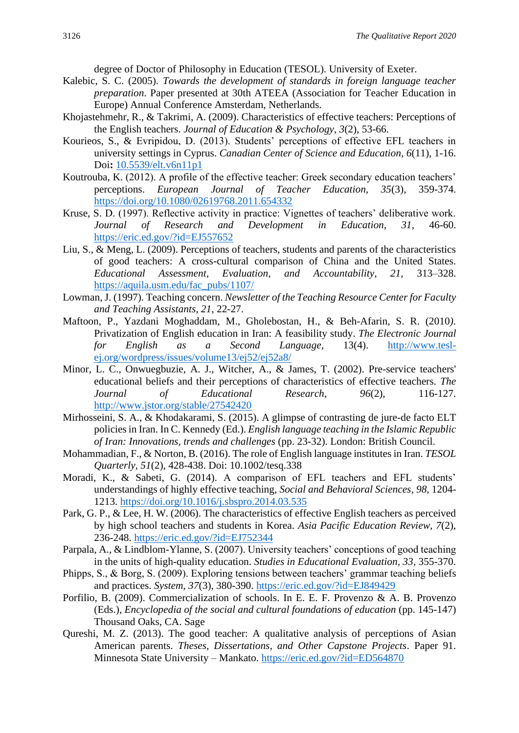degree of Doctor of Philosophy in Education (TESOL). University of Exeter.

- Kalebic, S. C. (2005). *Towards the development of standards in foreign language teacher preparation*. Paper presented at 30th ATEEA (Association for Teacher Education in Europe) Annual Conference Amsterdam, Netherlands.
- Khojastehmehr, R., & Takrimi, A. (2009). Characteristics of effective teachers: Perceptions of the English teachers. *Journal of Education & Psychology, 3*(2), 53-66.
- Kourieos, S., & Evripidou, D. (2013). Students' perceptions of effective EFL teachers in university settings in Cyprus. *Canadian Center of Science and Education, 6*(11), 1-16. Doi**:** [10.5539/elt.v6n11p1](https://doi.org/10.5539/elt.v6n11p1)
- Koutrouba, K. (2012). A profile of the effective teacher: Greek secondary education teachers' perceptions. *European Journal of Teacher Education, 35*(3), 359-374. <https://doi.org/10.1080/02619768.2011.654332>
- Kruse, S. D. (1997). Reflective activity in practice: Vignettes of teachers' deliberative work. *Journal of Research and Development in Education, 31*, 46-60. <https://eric.ed.gov/?id=EJ557652>
- Liu, S., & Meng, L. (2009). Perceptions of teachers, students and parents of the characteristics of good teachers: A cross-cultural comparison of China and the United States. *Educational Assessment, Evaluation, and Accountability, 21*, 313–328. [https://aquila.usm.edu/fac\\_pubs/1107/](https://aquila.usm.edu/fac_pubs/1107/)
- Lowman, J. (1997). Teaching concern. *Newsletter of the Teaching Resource Center for Faculty and Teaching Assistants, 21*, 22-27.
- Maftoon, P., Yazdani Moghaddam, M., Gholebostan, H., & Beh-Afarin, S. R. (2010*).*  Privatization of English education in Iran: A feasibility study. *The Electronic Journal for English as a Second Language,* 13(4). [http://www.tesl](http://www.tesl-ej.org/wordpress/issues/volume13/ej52/ej52a8/)[ej.org/wordpress/issues/volume13/ej52/ej52a8/](http://www.tesl-ej.org/wordpress/issues/volume13/ej52/ej52a8/)
- Minor, L. C., Onwuegbuzie, A. J., Witcher, A., & James, T. (2002). Pre-service teachers' educational beliefs and their perceptions of characteristics of effective teachers. *The Journal of Educational Research, 96*(2), 116-127. <http://www.jstor.org/stable/27542420>
- Mirhosseini, S. A., & Khodakarami, S. (2015). A glimpse of contrasting de jure-de facto ELT policies in Iran. In C. Kennedy (Ed.). *English language teaching in the Islamic Republic of Iran: Innovations, trends and challenges* (pp. 23-32). London: British Council.
- Mohammadian, F., & Norton, B. (2016). The role of English language institutes in Iran. *TESOL Quarterly, 51*(2), 428-438. Doi: 10.1002/tesq.338
- Moradi, K., & Sabeti, G. (2014). A comparison of EFL teachers and EFL students' understandings of highly effective teaching, *Social and Behavioral Sciences, 98*, 1204- 1213.<https://doi.org/10.1016/j.sbspro.2014.03.535>
- Park, G. P., & Lee, H. W. (2006). The characteristics of effective English teachers as perceived by high school teachers and students in Korea. *Asia Pacific Education Review, 7*(2), 236-248.<https://eric.ed.gov/?id=EJ752344>
- Parpala, A., & Lindblom-Ylanne, S. (2007). University teachers' conceptions of good teaching in the units of high-quality education. *Studies in Educational Evaluation, 33,* 355-370.
- Phipps, S., & Borg, S. (2009). Exploring tensions between teachers' grammar teaching beliefs and practices. *System, 37*(3), 380-390. <https://eric.ed.gov/?id=EJ849429>
- Porfilio, B. (2009). Commercialization of schools. In E. E. F. Provenzo & A. B. Provenzo (Eds.), *Encyclopedia of the social and cultural foundations of education* (pp. 145-147) Thousand Oaks, CA. Sage
- Qureshi, M. Z. (2013). The good teacher: A qualitative analysis of perceptions of Asian American parents. *Theses, Dissertations, and Other Capstone Projects*. Paper 91. Minnesota State University – Mankato.<https://eric.ed.gov/?id=ED564870>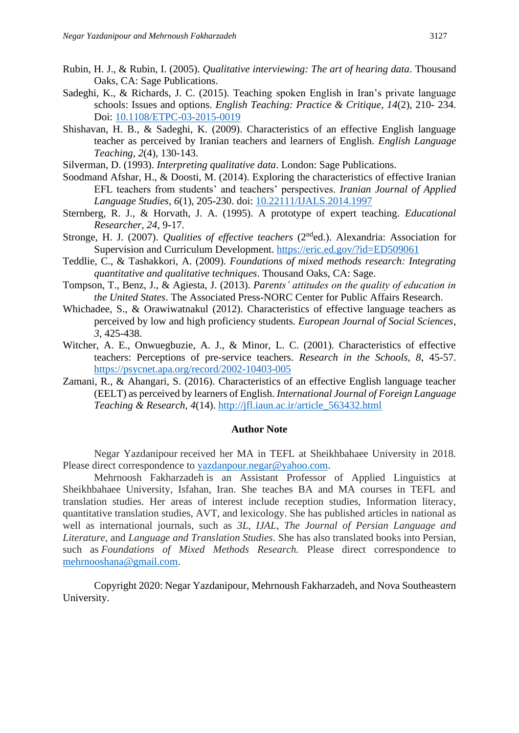- Rubin, H. J., & Rubin, I. (2005). *Qualitative interviewing: The art of hearing data*. Thousand Oaks, CA: Sage Publications.
- Sadeghi, K., & Richards, J. C. (2015). Teaching spoken English in Iran's private language schools: Issues and options. *English Teaching: Practice & Critique, 14*(2), 210- 234. Doi: [10.1108/ETPC-03-2015-0019](http://dx.doi.org/10.1108/ETPC-03-2015-0019)
- Shishavan, H. B., & Sadeghi, K. (2009). Characteristics of an effective English language teacher as perceived by Iranian teachers and learners of English. *English Language Teaching, 2*(4), 130-143.
- Silverman, D. (1993). *Interpreting qualitative data*. London: Sage Publications.
- Soodmand Afshar, H., & Doosti, M. (2014). Exploring the characteristics of effective Iranian EFL teachers from students' and teachers' perspectives. *Iranian Journal of Applied Language Studies, 6*(1), 205-230. doi: [10.22111/IJALS.2014.1997](http://dx.doi.org/10.22111/ijals.2014.1997)
- Sternberg, R. J., & Horvath, J. A. (1995). A prototype of expert teaching. *Educational Researcher, 24*, 9-17.
- Stronge, H. J. (2007). *Qualities of effective teachers* (2<sup>nd</sup>ed.). Alexandria: Association for Supervision and Curriculum Development.<https://eric.ed.gov/?id=ED509061>
- Teddlie, C., & Tashakkori, A. (2009). *Foundations of mixed methods research: Integrating quantitative and qualitative techniques*. Thousand Oaks, CA: Sage.
- Tompson, T., Benz, J., & Agiesta, J. (2013). *Parents' attitudes on the quality of education in the United States*. The Associated Press-NORC Center for Public Affairs Research.
- Whichadee, S., & Orawiwatnakul (2012). Characteristics of effective language teachers as perceived by low and high proficiency students. *European Journal of Social Sciences*, *3*, 425-438.
- Witcher, A. E., Onwuegbuzie, A. J., & Minor, L. C. (2001). Characteristics of effective teachers: Perceptions of pre-service teachers. *Research in the Schools, 8*, 45-57. <https://psycnet.apa.org/record/2002-10403-005>
- Zamani, R., & Ahangari, S. (2016). Characteristics of an effective English language teacher (EELT) as perceived by learners of English. *International Journal of Foreign Language Teaching & Research, 4*(14). [http://jfl.iaun.ac.ir/article\\_563432.html](http://jfl.iaun.ac.ir/article_563432.html)

#### **Author Note**

Negar Yazdanipour received her MA in TEFL at Sheikhbahaee University in 2018*.* Please direct correspondence to [yazdanpour.negar@yahoo.com.](mailto:yazdanpour.negar@yahoo.com)

Mehrnoosh Fakharzadeh is an Assistant Professor of Applied Linguistics at Sheikhbahaee University, Isfahan, Iran. She teaches BA and MA courses in TEFL and translation studies. Her areas of interest include reception studies, Information literacy, quantitative translation studies, AVT, and lexicology. She has published articles in national as well as international journals, such as *3L*, *IJAL*, *The Journal of Persian Language and Literature*, and *Language and Translation Studies*. She has also translated books into Persian, such as *Foundations of Mixed Methods Research.* Please direct correspondence to [mehrnooshana@gmail.com.](mailto:mehrnooshana@gmail.com)

Copyright 2020: Negar Yazdanipour, Mehrnoush Fakharzadeh, and Nova Southeastern University.